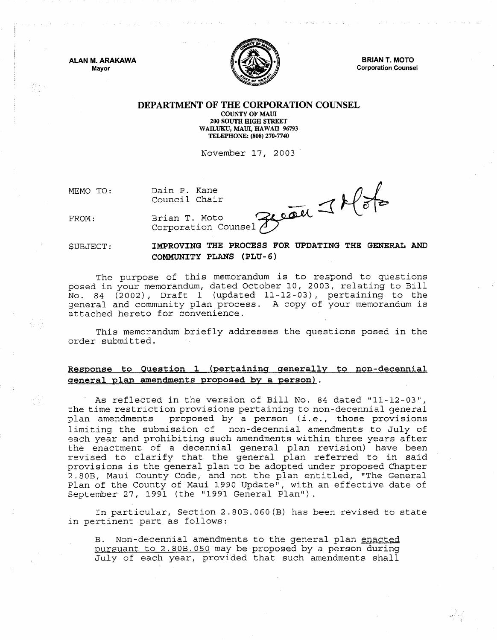ALAN M. ARAKAWA Mayor



BRIAN T. MOTO Corporation Counsel

#### DEPARTMENT OF THE CORPORATION COUNSEL

COUNTY OF MAUl 200 SOUTII HIGH STREET WAILUKU, MAUl, HAWAII 96793 TELEPHONE: (808) 270·7740

November 17, 2003

MEMO TO:

Dain P. Kane Council Chair

FROM:

 $R^{right} \leq k$  of

Brian T. Moto Corporation Counsel  $\bigcirc$ 

SUBJECT:

IMPROVING THE PROCESS FOR UPDATING THE GENERAL AND COMMUNITY PLANS (PLU-6)

The purpose of this memorandum is to respond to questions posed in your memorandum, dated October 10, 2003, relating to Bill No. 84 (2002), Draft 1 (updated 11-12-03), pertaining to the general and community plan process. A copy of your memorandum is attached hereto for convenience.

This memorandum briefly addresses the questions posed in the order submitted.

## Response to Question 1 (pertaining generally to non-decennial general plan amendments proposed by a person) .

. As reflected in the version of Bill No. 84 dated "11-12-03", the time restriction provisions pertaining to non-decennial general plan amendments proposed by a person (i. *e.,* those provisions limiting the submission of non-decennial amendments to July of each year and prohibiting such amendments within three years after the enactment of a decennial general plan revision) have been revised to clarify that the general plan referred to in said provisions is the general plan to be adopted under proposed Chapter 2.80B, Maui County Code, and not the plan entitled, "The General plan of the County of Maui 1990 Update", with an effective date of September 27, 1991 (the "1991 General Plan").

In particular, Section 2.80B.060(B} has been revised to state in pertinent part as follows:

B. Non-decennial amendments to the general plan enacted pursuant to 2.80B.OSO may be proposed by a person during July of each year, provided that such amendments shall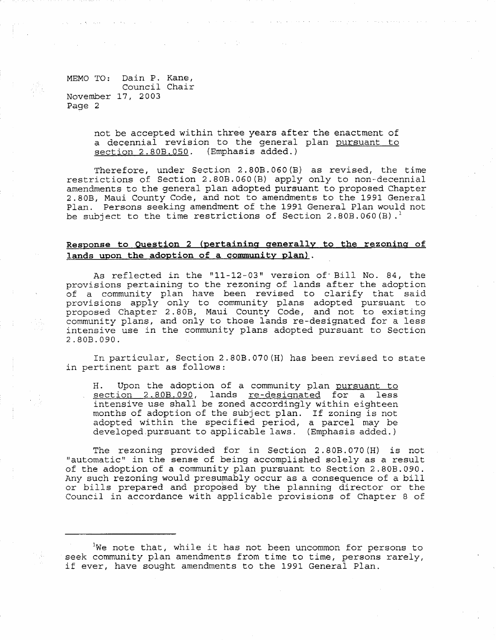MEMO TO: Dain P. Kane, Council Chair November 17, 2003 Page 2

> not be accepted within three years after the enactment of a decennial revision to the general plan pursuant to section 2.80B.050. (Emphasis added.)

Therefore, under Section 2.80B.060(B) as revised, the time restrictions of Section 2.80B.060(B) apply only to non-decennial amendments to the general plan adopted pursuant to proposed Chapter 2.80B, Maui County Code, and not to amendments to the 1991 General Plan. Persons seeking amendment of the 1991 General Plan would not be subject to the time restrictions of Section 2.80B.060(B).<sup>1</sup>

#### **Response to Question 2 (pertaining generally to the rezoning of lands upon the adoption of a community plan) .**

As reflected in the "11-12-03" version of' Bill No. 84, the provisions pertaining to the rezoning of lands after the adoption of a community plan have been revised to clarify that said provisions apply only to community plans adopted pursuant to proviscime refer 2.80B, Maui County Code, and not to existing community plans, and only to those lands re-designated for a less intensive use in the community plans adopted pursuant to Section 2.80B.090.

In particular, Section 2.80B.070(H) has been revised to state in pertinent part as follows:

H. Upon the adoption of a community plan pursuant to section 2.80B.090, lands re-designated for a less intensive use shall be zoned accordingly within eighteen months of adoption of the subject plan. If zoning is not adopted within the specified period, a parcel may be developed.pursuant to applicable laws. (Emphasis added.)

The rezoning provided for in Section 2. 80B. 070 (H) is not "automatic" in the sense of being accomplished solely as a result of the adoption of a community plan pursuant to Section 2.80B.090. Any such rezoning would presumably occur as a consequence of a bill or bills prepared and proposed by the planning director or the Council in accordance with applicable provisions of Chapter 8 of

lWe note that, while it has not been uncommon for persons to seek community plan amendments from time to time, persons rarely, if ever, have sought amendments to the 1991 General Plan.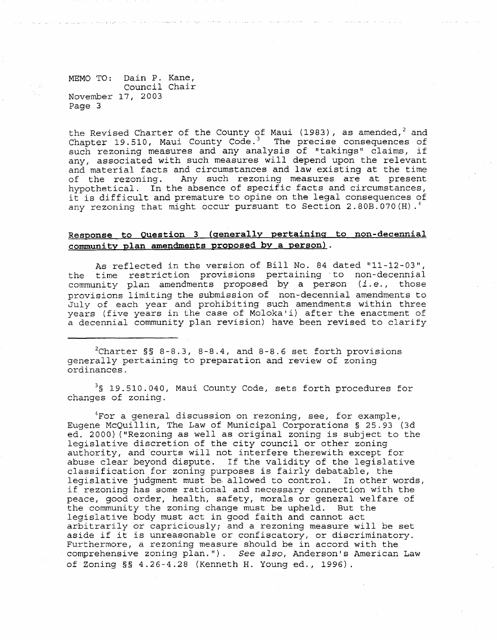MEMO TO: Dain P. Kane, Council Chair November 17, 2003 Page 3

the Revised Charter of the County of Maui (1983), as amended,<sup>2</sup> and Chapter 19.510, Maui County Code. 3 The precise consequences of such rezoning measures and any analysis of "takings" claims, if any, associated with such measures will depend upon the relevant and material facts and circumstances and law existing at the time of the rezoning. Any such rezoning measures are at present hypothetical. In the absence of specific facts and circumstances, it is difficult and premature to opine on the legal consequences of any rezoning that might occur pursuant to Section 2.80B.070 (H).<sup>4</sup>

## **Response to Question 3 (generally pertaining to non-decennial community plan amendments proposed by a person) .**

As reflected in the version of Bill No. 84 dated "11-12-03", the time restriction provisions pertaining to non-decennial community plan amendments proposed by a person (i.e., those provisions limiting the submission of non-decennial amendments to July of each year and prohibiting such amendments within three years (five years in the case of Moloka'i) after the enactment of a decennial community plan revision) have been revised to clarify

 $^{2}$ Charter §§ 8-8.3, 8-8.4, and 8-8.6 set forth provisions generally pertaining to preparation and review of zoning ordinances.

<sup>3</sup>§ 19.510.040, Maui County Code, sets forth procedures for changes of zoning.

 $4$ For a general discussion on rezoning, see, for example, Eugene McQuillin, The Law of Municipal Corporations § 25.93 (3d ed. 2000) ("Rezoning as well as original zoning is subject to the legislative discretion of the city council or other zoning authority, and 'courts will not interfere therewith except for abuse clear beyond dispute. If the validity of the legislative classification for zoning purposes is fairly debatable, the legislative judgment must be allowed to control. In other words, if rezoning has some rational and necessary connection with the peace, good order, health, safety, morals or general welfare of the community the zoning change must be upheld. But the legislative body must act in good faith and cannot act arbitrarily or capriciously; and a rezoning measure will be set aside if it is unreasonable or confiscatory, or discriminatory. Furthermore, a rezoning measure should be in accord with the comprehensive zoning plan."). *See also,* Anderson's American Law of Zoning §§ 4.26-4.28 (Kenneth H. Young ed., 1996).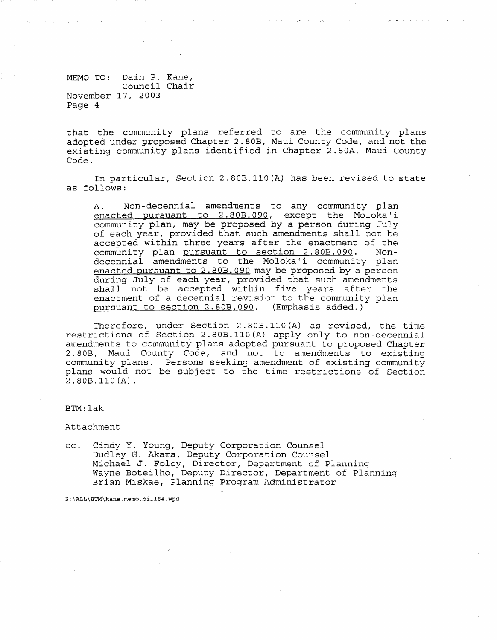MEMO TO: Dain P. Kane, Council *Chair*  November 17, 2003 Page 4

that the community plans referred to are the community plans adopted under proposed Chapter 2.80B, Maui County Code, and not the existing *community* plans identified in Chapter 2.80A, Maui County Code.

In particular, Section 2.80B.110(A) has been revised to state as follows:

A. Non-decennial amendments to any community plan enacted pursuant to 2.80B.090, except the Moloka'i community plan, may be proposed by a person during July of each year, provided that such amendments shall not be accepted within three years after the enactment of the community plan pursuant to section 2.80B.090. Nondecennial amendments to the Moloka'i community plan enacted pursuant to 2.80B.090 may be proposed by a person during July of each year, provided that such amendments shall not be accepted within five years after the enactment of a decennial revision to the community plan pursuant to section 2.80B.090. (Emphasis added.)

Therefore, under Section 2.80B.IIO(A) as revised, the time restrictions of Section 2.80B.II0(A) apply only to non-decennial amendments to community plans adopted pursuant to proposed Chapter 2.80B, Maui County Code, and not to amendments to existing community plans. Persons seeking amendment of existing community plans would not be subject to the time restrictions of Section 2. 80B.110 (A) .

#### BTM:lak

Attachment

cc: Cindy Y. Young, Deputy Corporation Counsel Dudley G. Akama, Deputy Corporation Counsel Michael J. Foley, Director, Department of Planning Wayne Boteilho, Deputy Director, Department of Planning Brian Miskae, Planning Program Administrator

S:\ALL\ETM\kane.memo.billB4.wpd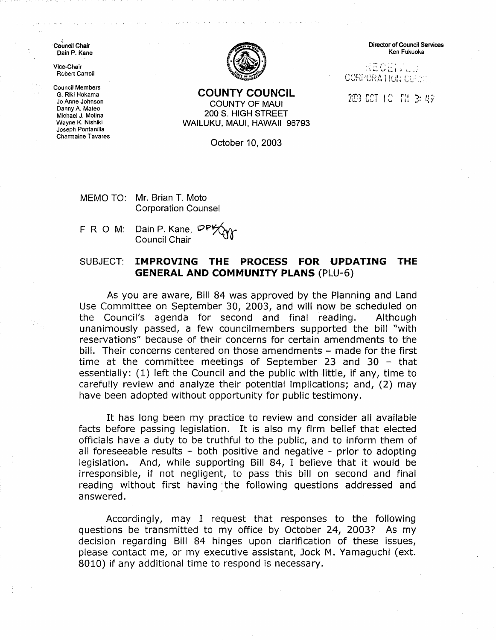Council Chair Dain P. Kane

Vice-Chair RObert Carroll

Council Members G. Riki Hokama Jo Anne Johnson Danny A. Mateo Michael J. Molina Wayne K. Nishiki Joseph Pontanilla Charmaine Tavares



**COUNTY COUNCIL**  COUNTY OF MAUl 200 S. HIGH STREET WAILUKU, MAUl, HAWAII 96793

October 10, 2003

MEMO TO: Mr. Brian T. Mota Corporation Counsel

F R O M: Dain P. Kane, <sup>DP</sup><br>Council Chair

# SUBJECT: **IMPROVING THE PROCESS FOR UPDATING THE GENERAL AND COMMUNITY PLANS** (PLU-6)

As you are aware, Bill 84 was approved by the Planning and Land Use Committee on September 3D, 2003, and will now be scheduled on the Council's agenda for second and final reading. Although unanimously passed, a few councilmembers supported the bill "with reservations" because of their concerns for certain amendments to the bill. Their concerns centered on those amendments – made for the first time at the committee meetings of September 23 and 30  $-$  that essentially: (1) left the Council and the public with little, if any, time to carefully review and analyze their potential implications; and, (2) may have been adopted without opportunity for public testimony.

It has long been my practice to review and consider all available facts before passing legislation. It is also my firm belief that elected officials have a duty to be truthful to the public, and to inform them of all foreseeable results  $-$  both positive and negative  $-$  prior to adopting legislation. And, while supporting Bill 84, I believe that it would be irresponsible, if not negligent, to pass this bill on second and final reading without first having: the following questions addressed and answered.

Accordingly, may I request that responses to the following questions be transmitted to my office by October 24, 20037 As my decision regarding Bill 84 hinges upon clarification of these issues, please contact me, or my executive assistant, Jock M. Yamaguchi (ext. 8010) if any additional time to respond is necessary.

Director of Council Services Ken Fukuoka

 $RECE(V_{\rm max})$ CORPORATION COUNT

203 CCT 10 PM 3: 49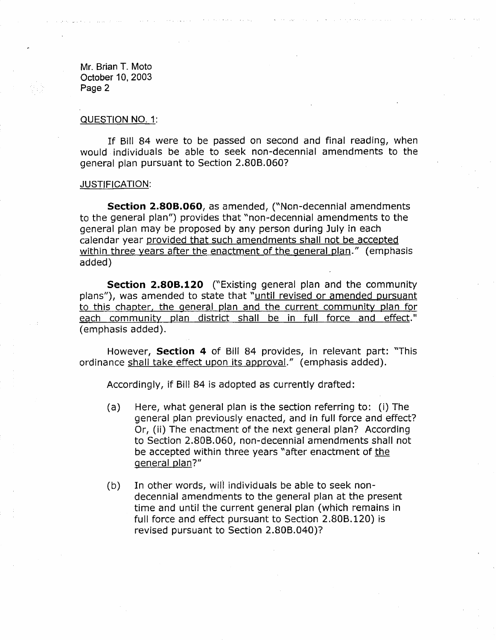#### QUESTION NO.1:

If Bill 84 were to be passed on second and final reading, when would individuals be able to seek non-decennial amendments to the general plan pursuant to Section 2.80B.060?

#### JUSTIFICATION:

**Section 2.80B.060**, as amended, ("Non-decennial amendments to the general plan") provides that "non-decennial amendments to the general plan may be proposed by any person during July in each calendar year provided that such amendments shall not be accepted within three years after the enactment of the general plan." (emphasis added)

**Section 2.808.120** ("Existing general plan and the community plans"), was amended to state that "until revised or amended pursuant to this chapter, the general plan and the current community plan for each community plan district shall be in full force and effect." (emphasis added).

However, **Section 4** of Bill 84 provides, in relevant part: "This ordinance shall take effect upon its approva!." (emphasis added).

Accordingly, if Bill 84 is adopted as currently drafted:

- (a) Here, what general plan is the section referring to: (i) The general plan previously enacted, and in full force and effect? Or, (ii) The enactment of the next general plan? According to Section 2.80B.060, non-decennial amendments shall not be accepted within three years "after enactment of the general plan?"
- $(b)$  In other words, will individuals be able to seek nondecennial amendments to the general plan at the present time and until the current general plan (which remains in full force and effect pursuant to Section 2.80B.120) is revised pursuant to Section 2.80B.040)7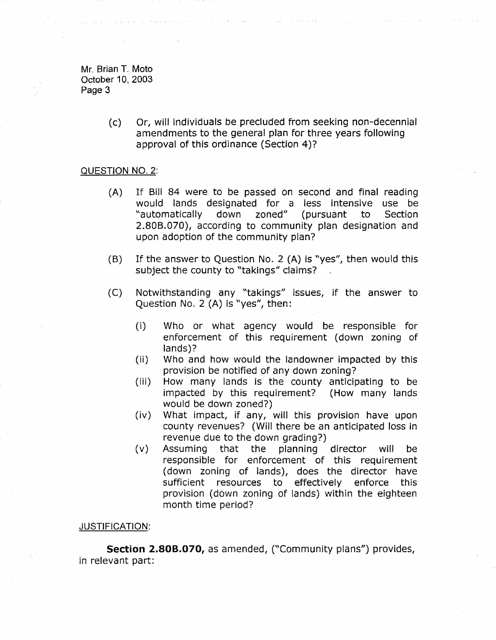> (c) Or, will individuals be precluded from seeking non-decennial amendments to the general plan for three years following approval of this ordinance (Section 4)7

# QUESTION NO. 2:

- (A) If Bill 84 were to be passed on second and final reading would lands designated for a less intensive use be "automatically down zoned" (pursuant to Section 2.808.070), according to community plan designation and upon adoption of the community plan?
- $(B)$  If the answer to Question No. 2 (A) is "yes", then would this subject the county to "takings" claims?
- (C) Notwithstanding any "takings" issues, if the answer to Question No.2 (A) is "yes", then:
	- (i) Who or what agency would be responsible for enforcement of this requirement (down zoning of lands)?
	- (ii) Who and how would the landowner impacted by this provision be notified of any down zoning?
	- (iii) How many lands is the county anticipating to be impacted by this requirement? (How many lands would be down zoned?)
	- (iv) What impact, if any, will this provision have upon county revenues? (Will there be an anticipated loss in revenue due to the down grading?)
	- (v) Assuming that the planning director will be responsible for enforcement of this requirement (down zoning of lands), does the director have sufficient resources to effectively enforce this provision (down zoning of lands) within the eighteen month time period?

## JUSTIFICATION:

**Section 2.808.070,** as amended, ("Community plans") provides, in relevant part: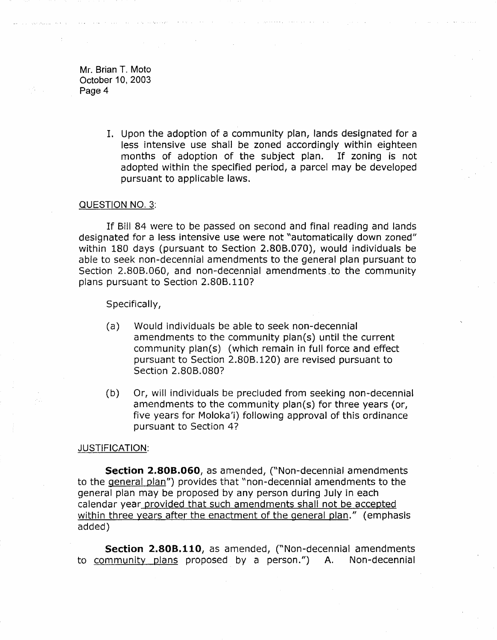> 1. Upon the adoption of a community plan, lands designated for a less intensive use shall be zoned accordingly within eighteen months of adoption of the subject plan. If zoning is not adopted within the specified period, a parcel may be developed pursuant to applicable laws.

#### QUESTION NO. 3:

If Bill 84 were to be passed on second and final reading and lands designated for a less intensive use were not "automatically down zoned" within 180 days (pursuant to Section 2.80B.070), would individuals be able to seek non-decennial amendments to the general plan pursuant to Section 2.80B.060, and non-decennial amendments .to the community plans pursuant to Section 2.80B.1107

Specifically,

- (a) Would individuals be able to seek non-decennial amendments to the community plan(s) until the current community plan(s) (which remain in full force and effect pursuant to Section 2.80B.120) are revised pursuant to Section 2.80B.080?
- (b) Or, will individuals be precluded from seeking non-decennial amendments to the community plan(s) for three years (or, five years for Moloka'i) following approval of this ordinance pursuant to Section 4?

#### JUSTIFICATION:

**Section 2.808.060,** as amended, ("Non-decennial amendments to the general plan") provides that "non-decennial amendments to the general plan may be proposed by any person during July in each calendar year provided that such amendments shall not be accepted within three years after the enactment of the general plan." (emphasis added)

**Section 2.808.110,** as amended, ("Non-decennial amendments to community plans proposed by a person.") A. Non-decennial